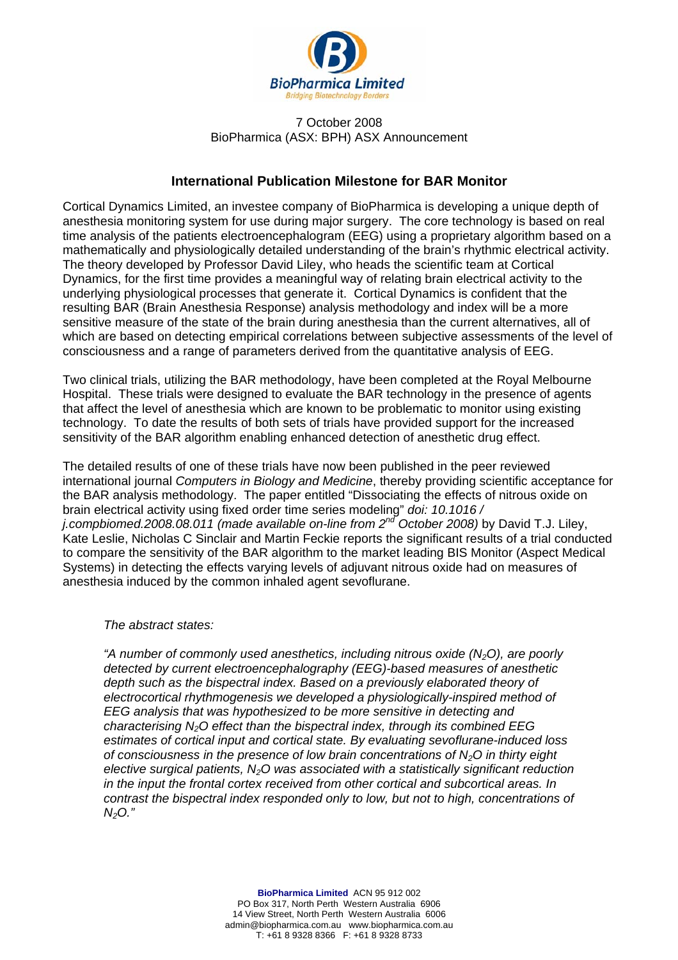

## 7 October 2008 BioPharmica (ASX: BPH) ASX Announcement

## **International Publication Milestone for BAR Monitor**

Cortical Dynamics Limited, an investee company of BioPharmica is developing a unique depth of anesthesia monitoring system for use during major surgery. The core technology is based on real time analysis of the patients electroencephalogram (EEG) using a proprietary algorithm based on a mathematically and physiologically detailed understanding of the brain's rhythmic electrical activity. The theory developed by Professor David Liley, who heads the scientific team at Cortical Dynamics, for the first time provides a meaningful way of relating brain electrical activity to the underlying physiological processes that generate it. Cortical Dynamics is confident that the resulting BAR (Brain Anesthesia Response) analysis methodology and index will be a more sensitive measure of the state of the brain during anesthesia than the current alternatives, all of which are based on detecting empirical correlations between subjective assessments of the level of consciousness and a range of parameters derived from the quantitative analysis of EEG.

Two clinical trials, utilizing the BAR methodology, have been completed at the Royal Melbourne Hospital. These trials were designed to evaluate the BAR technology in the presence of agents that affect the level of anesthesia which are known to be problematic to monitor using existing technology. To date the results of both sets of trials have provided support for the increased sensitivity of the BAR algorithm enabling enhanced detection of anesthetic drug effect.

The detailed results of one of these trials have now been published in the peer reviewed international journal *Computers in Biology and Medicine*, thereby providing scientific acceptance for the BAR analysis methodology. The paper entitled "Dissociating the effects of nitrous oxide on brain electrical activity using fixed order time series modeling" *doi: 10.1016 / j.compbiomed.2008.08.011 (made available on-line from 2nd October 2008)* by David T.J. Liley, Kate Leslie, Nicholas C Sinclair and Martin Feckie reports the significant results of a trial conducted to compare the sensitivity of the BAR algorithm to the market leading BIS Monitor (Aspect Medical Systems) in detecting the effects varying levels of adjuvant nitrous oxide had on measures of anesthesia induced by the common inhaled agent sevoflurane.

## *The abstract states:*

*"A number of commonly used anesthetics, including nitrous oxide (N2O), are poorly detected by current electroencephalography (EEG)-based measures of anesthetic depth such as the bispectral index. Based on a previously elaborated theory of electrocortical rhythmogenesis we developed a physiologically-inspired method of EEG analysis that was hypothesized to be more sensitive in detecting and characterising N2O effect than the bispectral index, through its combined EEG estimates of cortical input and cortical state. By evaluating sevoflurane-induced loss of consciousness in the presence of low brain concentrations of N2O in thirty eight elective surgical patients, N2O was associated with a statistically significant reduction in the input the frontal cortex received from other cortical and subcortical areas. In contrast the bispectral index responded only to low, but not to high, concentrations of N2O."*